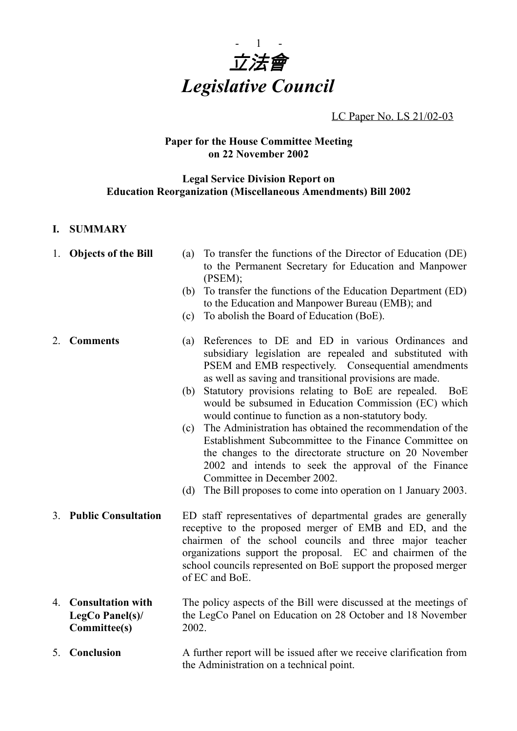

LC Paper No. LS 21/02-03

# **Paper for the House Committee Meeting on 22 November 2002**

# **Legal Service Division Report on Education Reorganization (Miscellaneous Amendments) Bill 2002**

# **I. SUMMARY**

- 
- 1. **Objects of the Bill** (a) To transfer the functions of the Director of Education (DE) to the Permanent Secretary for Education and Manpower (PSEM);
	- (b) To transfer the functions of the Education Department (ED) to the Education and Manpower Bureau (EMB); and
	- (c) To abolish the Board of Education (BoE).

- 2. **Comments** (a) References to DE and ED in various Ordinances and subsidiary legislation are repealed and substituted with PSEM and EMB respectively. Consequential amendments as well as saving and transitional provisions are made.
	- (b) Statutory provisions relating to BoE are repealed. BoE would be subsumed in Education Commission (EC) which would continue to function as a non-statutory body.
	- (c) The Administration has obtained the recommendation of the Establishment Subcommittee to the Finance Committee on the changes to the directorate structure on 20 November 2002 and intends to seek the approval of the Finance Committee in December 2002.
	- (d) The Bill proposes to come into operation on 1 January 2003.
- 3. **Public Consultation** ED staff representatives of departmental grades are generally receptive to the proposed merger of EMB and ED, and the chairmen of the school councils and three major teacher organizations support the proposal. EC and chairmen of the school councils represented on BoE support the proposed merger of EC and BoE.
- 4. **Consultation with LegCo Panel(s)/ Committee(s)** The policy aspects of the Bill were discussed at the meetings of the LegCo Panel on Education on 28 October and 18 November 2002.

5. **Conclusion** A further report will be issued after we receive clarification from the Administration on a technical point.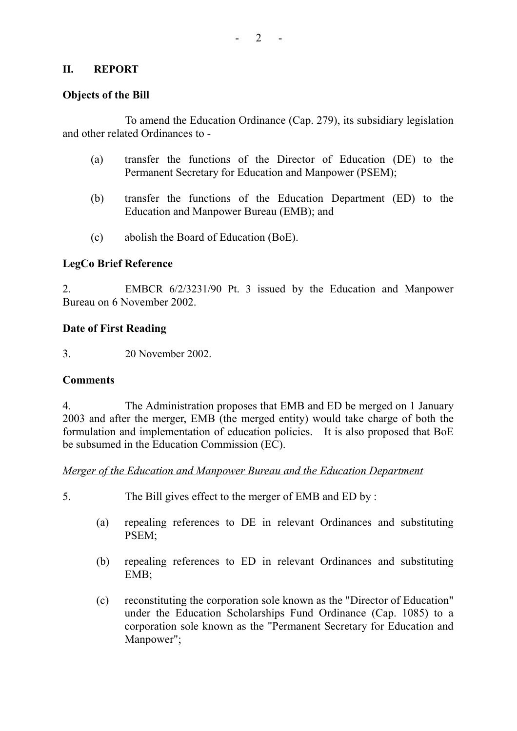# **II. REPORT**

### **Objects of the Bill**

To amend the Education Ordinance (Cap. 279), its subsidiary legislation and other related Ordinances to -

- (a) transfer the functions of the Director of Education (DE) to the Permanent Secretary for Education and Manpower (PSEM);
- (b) transfer the functions of the Education Department (ED) to the Education and Manpower Bureau (EMB); and
- (c) abolish the Board of Education (BoE).

# **LegCo Brief Reference**

2. EMBCR 6/2/3231/90 Pt. 3 issued by the Education and Manpower Bureau on 6 November 2002.

#### **Date of First Reading**

3. 20 November 2002.

#### **Comments**

4. The Administration proposes that EMB and ED be merged on 1 January 2003 and after the merger, EMB (the merged entity) would take charge of both the formulation and implementation of education policies. It is also proposed that BoE be subsumed in the Education Commission (EC).

# *Merger of the Education and Manpower Bureau and the Education Department*

- 5. The Bill gives effect to the merger of EMB and ED by :
	- (a) repealing references to DE in relevant Ordinances and substituting PSEM;
	- (b) repealing references to ED in relevant Ordinances and substituting EMB;
	- (c) reconstituting the corporation sole known as the "Director of Education" under the Education Scholarships Fund Ordinance (Cap. 1085) to a corporation sole known as the "Permanent Secretary for Education and Manpower";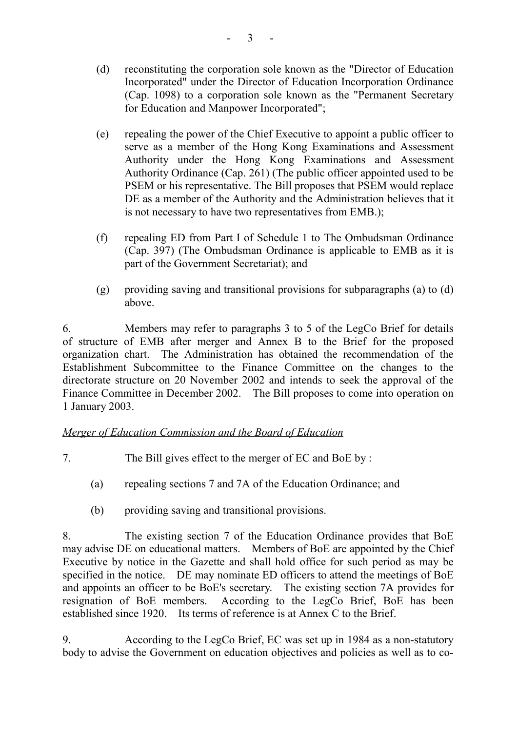- (d) reconstituting the corporation sole known as the "Director of Education Incorporated" under the Director of Education Incorporation Ordinance (Cap. 1098) to a corporation sole known as the "Permanent Secretary for Education and Manpower Incorporated";
- (e) repealing the power of the Chief Executive to appoint a public officer to serve as a member of the Hong Kong Examinations and Assessment Authority under the Hong Kong Examinations and Assessment Authority Ordinance (Cap. 261) (The public officer appointed used to be PSEM or his representative. The Bill proposes that PSEM would replace DE as a member of the Authority and the Administration believes that it is not necessary to have two representatives from EMB.);
- (f) repealing ED from Part I of Schedule 1 to The Ombudsman Ordinance (Cap. 397) (The Ombudsman Ordinance is applicable to EMB as it is part of the Government Secretariat); and
- (g) providing saving and transitional provisions for subparagraphs (a) to (d) above.

6. Members may refer to paragraphs 3 to 5 of the LegCo Brief for details of structure of EMB after merger and Annex B to the Brief for the proposed organization chart. The Administration has obtained the recommendation of the Establishment Subcommittee to the Finance Committee on the changes to the directorate structure on 20 November 2002 and intends to seek the approval of the Finance Committee in December 2002. The Bill proposes to come into operation on 1 January 2003.

# *Merger of Education Commission and the Board of Education*

- 7. The Bill gives effect to the merger of EC and BoE by :
	- (a) repealing sections 7 and 7A of the Education Ordinance; and
	- (b) providing saving and transitional provisions.

8. The existing section 7 of the Education Ordinance provides that BoE may advise DE on educational matters. Members of BoE are appointed by the Chief Executive by notice in the Gazette and shall hold office for such period as may be specified in the notice. DE may nominate ED officers to attend the meetings of BoE and appoints an officer to be BoE's secretary. The existing section 7A provides for resignation of BoE members. According to the LegCo Brief, BoE has been established since 1920. Its terms of reference is at Annex C to the Brief.

9. According to the LegCo Brief, EC was set up in 1984 as a non-statutory body to advise the Government on education objectives and policies as well as to co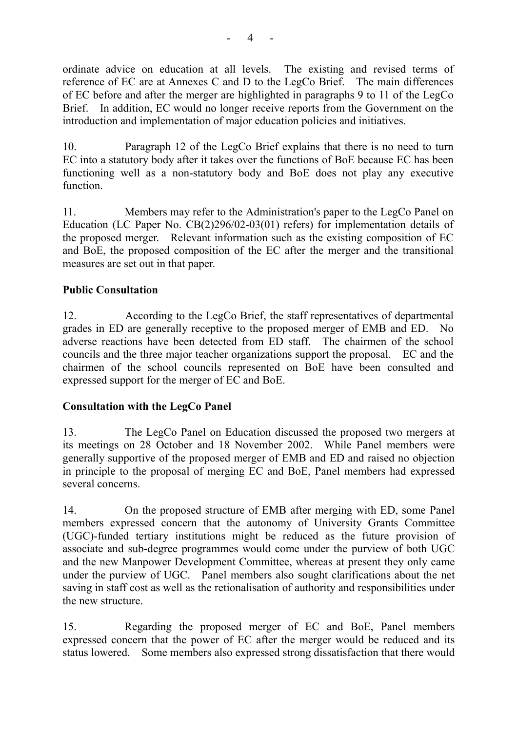ordinate advice on education at all levels. The existing and revised terms of reference of EC are at Annexes C and D to the LegCo Brief. The main differences of EC before and after the merger are highlighted in paragraphs 9 to 11 of the LegCo Brief. In addition, EC would no longer receive reports from the Government on the introduction and implementation of major education policies and initiatives.

10. Paragraph 12 of the LegCo Brief explains that there is no need to turn EC into a statutory body after it takes over the functions of BoE because EC has been functioning well as a non-statutory body and BoE does not play any executive function.

11. Members may refer to the Administration's paper to the LegCo Panel on Education (LC Paper No. CB(2)296/02-03(01) refers) for implementation details of the proposed merger. Relevant information such as the existing composition of EC and BoE, the proposed composition of the EC after the merger and the transitional measures are set out in that paper.

# **Public Consultation**

12. According to the LegCo Brief, the staff representatives of departmental grades in ED are generally receptive to the proposed merger of EMB and ED. No adverse reactions have been detected from ED staff. The chairmen of the school councils and the three major teacher organizations support the proposal. EC and the chairmen of the school councils represented on BoE have been consulted and expressed support for the merger of EC and BoE.

# **Consultation with the LegCo Panel**

13. The LegCo Panel on Education discussed the proposed two mergers at its meetings on 28 October and 18 November 2002. While Panel members were generally supportive of the proposed merger of EMB and ED and raised no objection in principle to the proposal of merging EC and BoE, Panel members had expressed several concerns.

14. On the proposed structure of EMB after merging with ED, some Panel members expressed concern that the autonomy of University Grants Committee (UGC)-funded tertiary institutions might be reduced as the future provision of associate and sub-degree programmes would come under the purview of both UGC and the new Manpower Development Committee, whereas at present they only came under the purview of UGC. Panel members also sought clarifications about the net saving in staff cost as well as the retionalisation of authority and responsibilities under the new structure.

15. Regarding the proposed merger of EC and BoE, Panel members expressed concern that the power of EC after the merger would be reduced and its status lowered. Some members also expressed strong dissatisfaction that there would